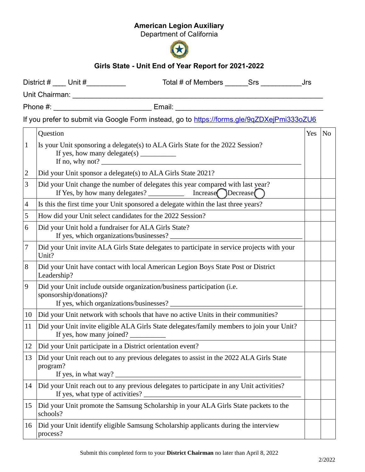## American Legion Auxiliary

Department of California



## Girls State - Unit End of Year Report for 2021-2022

|                |             |                         |                                                      | Phone #: ______________________________ Email: _________________________________                                                                              |  |            |    |
|----------------|-------------|-------------------------|------------------------------------------------------|---------------------------------------------------------------------------------------------------------------------------------------------------------------|--|------------|----|
|                |             |                         |                                                      | If you prefer to submit via Google Form instead, go to https://forms.gle/9qZDXejPmi333oZU6                                                                    |  |            |    |
|                | Question    |                         |                                                      |                                                                                                                                                               |  | <b>Yes</b> | No |
| $\mathbf{1}$   |             |                         | If yes, how many delegate(s) ____________            | Is your Unit sponsoring a delegate(s) to ALA Girls State for the 2022 Session?<br>If no, why not? $\blacksquare$                                              |  |            |    |
| $\overline{2}$ |             |                         |                                                      | Did your Unit sponsor a delegate(s) to ALA Girls State 2021?                                                                                                  |  |            |    |
| 3              |             |                         |                                                      | Did your Unit change the number of delegates this year compared with last year?<br>If Yes, by how many delegates? $\qquad \qquad$ Increase Decrease $\bigcap$ |  |            |    |
| 4              |             |                         |                                                      | Is this the first time your Unit sponsored a delegate within the last three years?                                                                            |  |            |    |
| 5              |             |                         |                                                      | How did your Unit select candidates for the 2022 Session?                                                                                                     |  |            |    |
| 6              |             |                         | Did your Unit hold a fundraiser for ALA Girls State? |                                                                                                                                                               |  |            |    |
| 7              | Unit?       |                         |                                                      | Did your Unit invite ALA Girls State delegates to participate in service projects with your                                                                   |  |            |    |
| 8              | Leadership? |                         |                                                      | Did your Unit have contact with local American Legion Boys State Post or District                                                                             |  |            |    |
| 9              |             | sponsorship/donations)? |                                                      | Did your Unit include outside organization/business participation (i.e.                                                                                       |  |            |    |
| 10             |             |                         |                                                      | Did your Unit network with schools that have no active Units in their communities?                                                                            |  |            |    |
| 11             |             |                         |                                                      | Did your Unit invite eligible ALA Girls State delegates/family members to join your Unit?                                                                     |  |            |    |
| 12             |             |                         |                                                      | Did your Unit participate in a District orientation event?                                                                                                    |  |            |    |
| 13             | program?    | If yes, in what way?    |                                                      | Did your Unit reach out to any previous delegates to assist in the 2022 ALA Girls State                                                                       |  |            |    |
| 14             |             |                         |                                                      | Did your Unit reach out to any previous delegates to participate in any Unit activities?                                                                      |  |            |    |
| 15             | schools?    |                         |                                                      | Did your Unit promote the Samsung Scholarship in your ALA Girls State packets to the                                                                          |  |            |    |
| 16             | process?    |                         |                                                      | Did your Unit identify eligible Samsung Scholarship applicants during the interview                                                                           |  |            |    |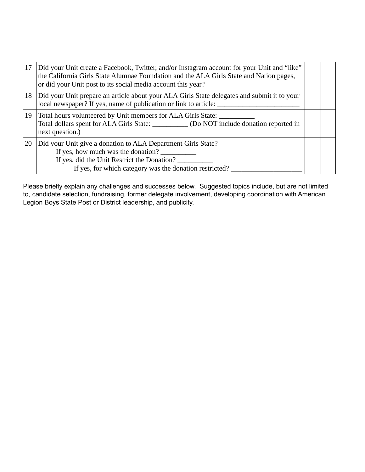| 17 | Did your Unit create a Facebook, Twitter, and/or Instagram account for your Unit and "like"<br>the California Girls State Alumnae Foundation and the ALA Girls State and Nation pages,<br>or did your Unit post to its social media account this year? |  |  |  |  |
|----|--------------------------------------------------------------------------------------------------------------------------------------------------------------------------------------------------------------------------------------------------------|--|--|--|--|
| 18 | Did your Unit prepare an article about your ALA Girls State delegates and submit it to your<br>local newspaper? If yes, name of publication or link to article:                                                                                        |  |  |  |  |
| 19 | Total hours volunteered by Unit members for ALA Girls State:<br>Total dollars spent for ALA Girls State: ___________ (Do NOT include donation reported in<br>next question.)                                                                           |  |  |  |  |
| 20 | Did your Unit give a donation to ALA Department Girls State?<br>If yes, how much was the donation?<br>If yes, did the Unit Restrict the Donation?<br>If yes, for which category was the donation restricted?                                           |  |  |  |  |

Please briefly explain any challenges and successes below. Suggested topics include, but are not limited to, candidate selection, fundraising, former delegate involvement, developing coordination with American Legion Boys State Post or District leadership, and publicity.